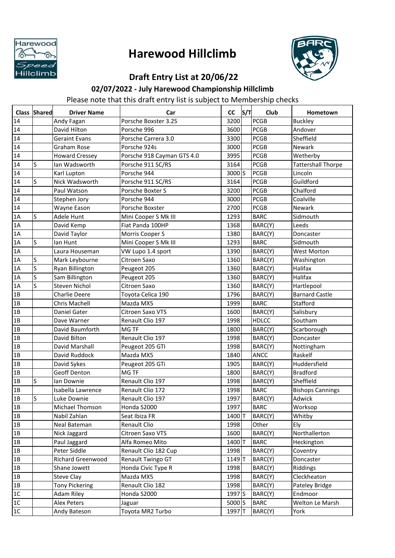

## **Harewood Hillclimb**



## **Draft Entry List at 20/06/22**

## **02/07/2022 - July Harewood Championship Hillclimb**

Please note that this draft entry list is subject to Membership checks

|      | <b>Class Shared</b> | <b>Driver Name</b>    | Car                        | <b>CC</b>         | ls/Tl | Club         | Hometown                  |
|------|---------------------|-----------------------|----------------------------|-------------------|-------|--------------|---------------------------|
| 14   |                     | Andy Fagan            | Porsche Boxster 3.2S       | 3200              |       | <b>PCGB</b>  | <b>Buckley</b>            |
| 14   |                     | David Hilton          | Porsche 996                | 3600              |       | <b>PCGB</b>  | Andover                   |
| 14   |                     | Geraint Evans         | Porsche Carrera 3.0        | 3300              |       | <b>PCGB</b>  | Sheffield                 |
| 14   |                     | <b>Graham Rose</b>    | Porsche 924s               | 3000              |       | <b>PCGB</b>  | <b>Newark</b>             |
| 14   |                     | <b>Howard Cressey</b> | Porsche 918 Cayman GTS 4.0 | 3995              |       | <b>PCGB</b>  | Wetherby                  |
| 14   | <sub>S</sub>        | Ian Wadsworth         | Porsche 911 SC/RS          | 3164              |       | <b>PCGB</b>  | <b>Tattershall Thorpe</b> |
| 14   |                     | Karl Lupton           | Porsche 944                | 3000S             |       | <b>PCGB</b>  | Lincoln                   |
| 14   | ls                  | Nick Wadsworth        | Porsche 911 SC/RS          | 3164              |       | <b>PCGB</b>  | Guildford                 |
| 14   |                     | Paul Watson           | Porsche Boxter S           | 3200              |       | <b>PCGB</b>  | Chalford                  |
| 14   |                     | Stephen Jory          | Porsche 944                | 3000              |       | <b>PCGB</b>  | Coalville                 |
| 14   |                     | Wayne Eason           | Porsche Boxster            | 2700              |       | <b>PCGB</b>  | Newark                    |
| 1A   | S                   | Adele Hunt            | Mini Cooper S Mk III       | 1293              |       | <b>BARC</b>  | Sidmouth                  |
| 1A   |                     | David Kemp            | Fiat Panda 100HP           | 1368              |       | BARC(Y)      | Leeds                     |
| 1A   |                     | David Taylor          | Morris Cooper S            | 1380              |       | BARC(Y)      | Doncaster                 |
| 1A   | S                   | lan Hunt              | Mini Cooper S Mk III       | 1293              |       | <b>BARC</b>  | Sidmouth                  |
| 1A   |                     | Laura Houseman        | VW Lupo 1.4 sport          | 1390              |       | BARC(Y)      | <b>West Morton</b>        |
| 1A   | S                   | Mark Leybourne        | Citroen Saxo               | 1360              |       | BARC(Y)      | Washington                |
| 1A   | S                   | Ryan Billington       | Peugeot 205                | 1360              |       | BARC(Y)      | Halifax                   |
| 1A   | S                   | Sam Billington        | Peugeot 205                | 1360              |       | BARC(Y)      | Halifax                   |
| 1A   | S                   | <b>Steven Nichol</b>  | Citroen Saxo               | 1360              |       | BARC(Y)      | Hartlepool                |
| 1B   |                     | Charlie Deere         | Toyota Celica 190          | 1796              |       | BARC(Y)      | <b>Barnard Castle</b>     |
| 1B   |                     | Chris Machell         | Mazda MX5                  | 1999              |       | <b>BARC</b>  | Stafford                  |
| 1B   |                     | <b>Daniel Gater</b>   | Citroen Saxo VTS           | 1600              |       | BARC(Y)      | Salisbury                 |
| 1B   |                     | Dave Warner           | Renault Clio 197           | 1998              |       | <b>HDLCC</b> | Southam                   |
| 1B   |                     | David Baumforth       | MG TF                      | 1800              |       | BARC(Y)      | Scarborough               |
| 1B   |                     | David Bilton          | Renault Clio 197           | 1998              |       | BARC(Y)      | Doncaster                 |
| 1B   |                     | David Marshall        | Peugeot 205 GTI            | 1998              |       | BARC(Y)      | Nottingham                |
| 1B   |                     | David Ruddock         | Mazda MX5                  | 1840              |       | <b>ANCC</b>  | Raskelf                   |
| 1B   |                     | David Sykes           | Peugeot 205 GTi            | 1905              |       | BARC(Y)      | Huddersfield              |
| 1B   |                     | <b>Geoff Denton</b>   | MG TF                      | 1800              |       | BARC(Y)      | <b>Bradford</b>           |
| 1B   | S                   | lan Downie            | Renault Clio 197           | 1998              |       | BARC(Y)      | Sheffield                 |
| 1B   |                     | Isabella Lawrence     | Renault Clio 172           | 1998              |       | <b>BARC</b>  | <b>Bishops Cannings</b>   |
| 1B   | S                   | Luke Downie           | Renault Clio 197           | 1997              |       | BARC(Y)      | Adwick                    |
| 1B   |                     | Michael Thomson       | Honda S2000                | 1997              |       | <b>BARC</b>  | Worksop                   |
| 1B   |                     | Nabil Zahlan          | Seat Ibiza FR              | 1400T             |       | BARC(Y)      | Whitby                    |
| 1B   |                     | Neal Bateman          | Renault Clio               | 1998              |       | Other        | Ely                       |
| 1B   |                     | Nick Jaggard          | Citroen Saxo VTS           | 1600              |       | BARC(Y)      | Northallerton             |
| 1B   |                     | Paul Jaggard          | Alfa Romeo Mito            | 1400 T            |       | <b>BARC</b>  | Heckington                |
| 1B   |                     | Peter Siddle          | Renault Clio 182 Cup       | 1998              |       | BARC(Y)      | Coventry                  |
| 1B   |                     | Richard Greenwood     | Renault Twingo GT          | 1149 T            |       | BARC(Y)      | Doncaster                 |
| 1B   |                     | Shane Jowett          | Honda Civic Type R         | 1998              |       | BARC(Y)      | Riddings                  |
| 1B   |                     | <b>Steve Clay</b>     | Mazda MX5                  | 1998              |       | BARC(Y)      | Cleckheaton               |
| 1B   |                     | <b>Tony Pickering</b> | Renault Clio 182           | 1998              |       | BARC(Y)      | Pateley Bridge            |
| 1C   |                     | <b>Adam Riley</b>     | Honda S2000                | 1997 <sup>S</sup> |       | BARC(Y)      | Endmoor                   |
| 1C   |                     | Alex Peters           | Jaguar                     | 5000 S            |       | <b>BARC</b>  | Welton Le Marsh           |
| $1C$ |                     | Andy Bateson          | Toyota MR2 Turbo           | 1997 <sub>T</sub> |       | BARC(Y)      | York                      |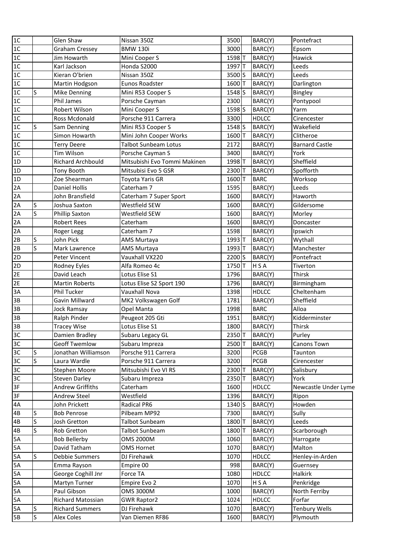| 1C             |              | Glen Shaw                | Nissan 350Z                  | 3500              | BARC(Y)      | Pontefract            |
|----------------|--------------|--------------------------|------------------------------|-------------------|--------------|-----------------------|
| 1C             |              | <b>Graham Cressey</b>    | <b>BMW 130i</b>              | 3000              | BARC(Y)      | Epsom                 |
| 1C             |              | Jim Howarth              | Mini Cooper S                | 1598T             | BARC(Y)      | Hawick                |
| 1C             |              | Karl Jackson             | Honda S2000                  | 1997 <sub>T</sub> | BARC(Y)      | Leeds                 |
| 1C             |              | Kieran O'brien           | Nissan 350Z                  | 3500 S            | BARC(Y)      | Leeds                 |
| 1C             |              | Martin Hodgson           | Eunos Roadster               | 1600 T            | BARC(Y)      | Darlington            |
| 1 <sup>C</sup> | S            | <b>Mike Denning</b>      | Mini R53 Cooper S            | 1548S             | BARC(Y)      | Bingley               |
| 1C             |              | <b>Phil James</b>        | Porsche Cayman               | 2300              | BARC(Y)      | Pontypool             |
| 1C             |              | Robert Wilson            | Mini Cooper S                | 1598 <sub>S</sub> | BARC(Y)      | Yarm                  |
| 1C             |              | Ross Mcdonald            | Porsche 911 Carrera          | 3300              | <b>HDLCC</b> | Cirencester           |
| 1 <sup>C</sup> | S            | Sam Denning              | Mini R53 Cooper S            | 1548 S            | BARC(Y)      | Wakefield             |
| 1C             |              | Simon Howarth            | Mini John Cooper Works       | 1600T             | BARC(Y)      | Clitheroe             |
| 1 <sub>C</sub> |              | <b>Terry Deere</b>       | <b>Talbot Sunbeam Lotus</b>  | 2172              | BARC(Y)      | <b>Barnard Castle</b> |
| 1C             |              | Tim Wilson               | Porsche Cayman S             | 3400              | BARC(Y)      | York                  |
| 1D             |              | <b>Richard Archbould</b> | Mitsubishi Evo Tommi Makinen | 1998 T            | BARC(Y)      | Sheffield             |
| 1D             |              | Tony Booth               | Mitsubisi Evo 5 GSR          | 2300 T            | BARC(Y)      | Spofforth             |
| 1D             |              | Zoe Shearman             | Toyota Yaris GR              | 1600T             | <b>BARC</b>  | Worksop               |
| 2A             |              | <b>Daniel Hollis</b>     | Caterham 7                   | 1595              | BARC(Y)      | Leeds                 |
| 2A             |              | John Bransfield          | Caterham 7 Super Sport       | 1600              | BARC(Y)      | Haworth               |
| 2A             | S            | Joshua Saxton            | Westfield SEW                | 1600              | BARC(Y)      | Gildersome            |
| 2A             | S            | <b>Phillip Saxton</b>    | Westfield SEW                | 1600              | BARC(Y)      | Morley                |
| 2A             |              | <b>Robert Rees</b>       | Caterham                     | 1600              | BARC(Y)      | Doncaster             |
| 2A             |              | Roger Legg               | Caterham 7                   | 1598              | BARC(Y)      | Ipswich               |
| 2B             | S            | John Pick                | AMS Murtaya                  | 1993 T            | BARC(Y)      | Wythall               |
| 2B             | S            | Mark Lawrence            | AMS Murtaya                  | 1993 T            | BARC(Y)      | Manchester            |
| 2D             |              | Peter Vincent            | Vauxhall VX220               | 2200 <sub>S</sub> | BARC(Y)      | Pontefract            |
| 2D             |              | Rodney Eyles             | Alfa Romeo 4c                | 1750T             | H S A        | Tiverton              |
| 2E             |              | David Leach              | Lotus Elise S1               | 1796              | BARC(Y)      | Thirsk                |
| 2E             |              | <b>Martin Roberts</b>    | Lotus Elise S2 Sport 190     | 1796              | BARC(Y)      | Birmingham            |
| 3A             |              | Phil Tucker              | Vauxhall Nova                | 1398              | <b>HDLCC</b> | Cheltenham            |
| 3B             |              | Gavin Millward           | MK2 Volkswagen Golf          | 1781              | BARC(Y)      | Sheffield             |
| 3B             |              | <b>Jock Ramsay</b>       | Opel Manta                   | 1998              | <b>BARC</b>  | Alloa                 |
| 3B             |              | Ralph Pinder             | Peugeot 205 Gti              | 1951              | BARC(Y)      | Kidderminster         |
| 3B             |              | <b>Tracey Wise</b>       | Lotus Elise S1               | 1800              | BARC(Y)      | Thirsk                |
| 3C             |              | Damien Bradley           | Subaru Legacy GL             | 2350T             | BARC(Y)      | Purley                |
| 3C             |              | <b>Geoff Twemlow</b>     | Subaru Impreza               | 2500T             | BARC(Y)      | Canons Town           |
| 3C             | S            | Jonathan Williamson      | Porsche 911 Carrera          | 3200              | <b>PCGB</b>  | Taunton               |
| 3C             | $\mathsf{S}$ | Laura Wardle             | Porsche 911 Carrera          | 3200              | <b>PCGB</b>  | Cirencester           |
| 3C             |              | Stephen Moore            | Mitsubishi Evo VI RS         | 2300T             | BARC(Y)      | Salisbury             |
| 3C             |              | <b>Steven Darley</b>     | Subaru Impreza               | 2350T             | BARC(Y)      | York                  |
| 3F             |              | Andrew Griffiths         | Caterham                     | 1600              | <b>HDLCC</b> | Newcastle Under Lyme  |
| 3F             |              | Andrew Steel             | Westfield                    | 1396              | BARC(Y)      | Ripon                 |
| 4A             |              | John Prickett            | Radical PR6                  | 1340 S            | BARC(Y)      | Howden                |
| 4B             | S            | <b>Bob Penrose</b>       | Pilbeam MP92                 | 7300              | BARC(Y)      | Sully                 |
| 4B             | S            | Josh Gretton             | Talbot Sunbeam               | 1800 T            | BARC(Y)      | Leeds                 |
| 4B             | S            | Rob Gretton              | Talbot Sunbeam               | 1800 T            | BARC(Y)      | Scarborough           |
| 5A             |              | <b>Bob Bellerby</b>      | <b>OMS 2000M</b>             | 1060              | BARC(Y)      | Harrogate             |
| 5A             |              | David Tatham             | <b>OMS Hornet</b>            | 1070              | BARC(Y)      | Malton                |
| 5A             | S            | Debbie Summers           | DJ Firehawk                  | 1070              | <b>HDLCC</b> | Henley-in-Arden       |
| 5A             |              | Emma Rayson              | Empire 00                    | 998               | BARC(Y)      | Guernsey              |
| 5A             |              | George Coghill Jnr       | Force TA                     | 1080              | <b>HDLCC</b> | Halkirk               |
| 5A             |              | Martyn Turner            | Empire Evo 2                 | 1070              | H S A        | Penkridge             |
| 5A             |              | Paul Gibson              | <b>OMS 3000M</b>             | 1000              | BARC(Y)      | North Ferriby         |
| 5A             |              | Richard Matossian        | <b>GWR Raptor2</b>           | 1024              | <b>HDLCC</b> | Forfar                |
| 5A             | S            | <b>Richard Summers</b>   | DJ Firehawk                  | 1070              | BARC(Y)      | <b>Tenbury Wells</b>  |
| 5B             | S            | <b>Alex Coles</b>        | Van Diemen RF86              | 1600              | BARC(Y)      | Plymouth              |